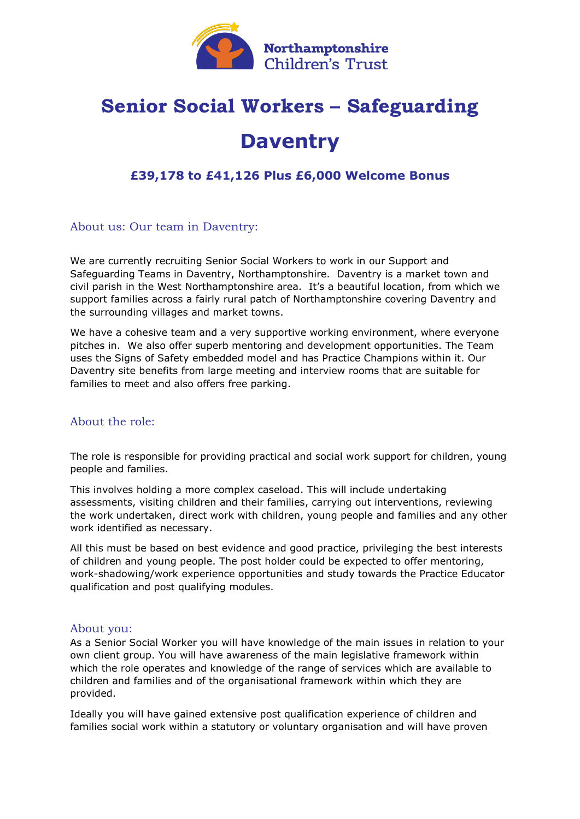

# **Senior Social Workers – Safeguarding**

# **Daventry**

### **£39,178 to £41,126 Plus £6,000 Welcome Bonus**

About us: Our team in Daventry:

We are currently recruiting Senior Social Workers to work in our Support and Safeguarding Teams in Daventry, Northamptonshire. Daventry is a market town and civil parish in the West Northamptonshire area. It's a beautiful location, from which we support families across a fairly rural patch of Northamptonshire covering Daventry and the surrounding villages and market towns.

We have a cohesive team and a very supportive working environment, where everyone pitches in. We also offer superb mentoring and development opportunities. The Team uses the Signs of Safety embedded model and has Practice Champions within it. Our Daventry site benefits from large meeting and interview rooms that are suitable for families to meet and also offers free parking.

#### About the role:

The role is responsible for providing practical and social work support for children, young people and families.

This involves holding a more complex caseload. This will include undertaking assessments, visiting children and their families, carrying out interventions, reviewing the work undertaken, direct work with children, young people and families and any other work identified as necessary.

All this must be based on best evidence and good practice, privileging the best interests of children and young people. The post holder could be expected to offer mentoring, work-shadowing/work experience opportunities and study towards the Practice Educator qualification and post qualifying modules.

#### About you:

As a Senior Social Worker you will have knowledge of the main issues in relation to your own client group. You will have awareness of the main legislative framework within which the role operates and knowledge of the range of services which are available to children and families and of the organisational framework within which they are provided.

Ideally you will have gained extensive post qualification experience of children and families social work within a statutory or voluntary organisation and will have proven